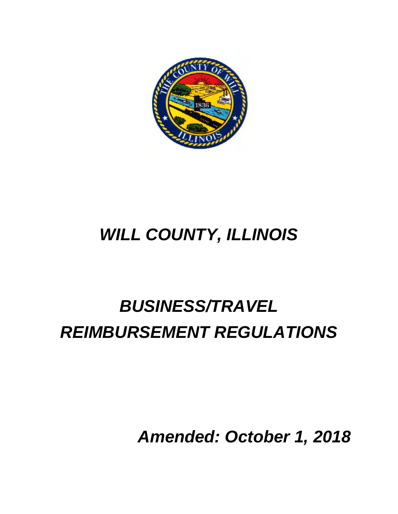

# *WILL COUNTY, ILLINOIS*

# *BUSINESS/TRAVEL REIMBURSEMENT REGULATIONS*

*Amended: October 1, 2018*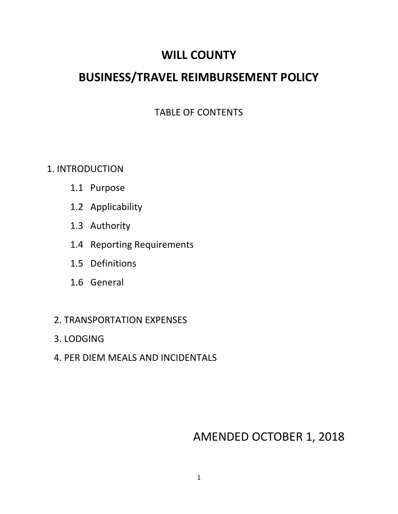## **WILL COUNTY**

## **BUSINESS/TRAVEL REIMBURSEMENT POLICY**

### TABLE OF CONTENTS

### 1. INTRODUCTION

- 1.1 Purpose
- 1.2 Applicability
- 1.3 Authority
- 1.4 Reporting Requirements
- 1.5 Definitions
- 1.6 General
- 2. TRANSPORTATION EXPENSES
- 3. LODGING
- 4. PER DIEM MEALS AND INCIDENTALS

## AMENDED OCTOBER 1, 2018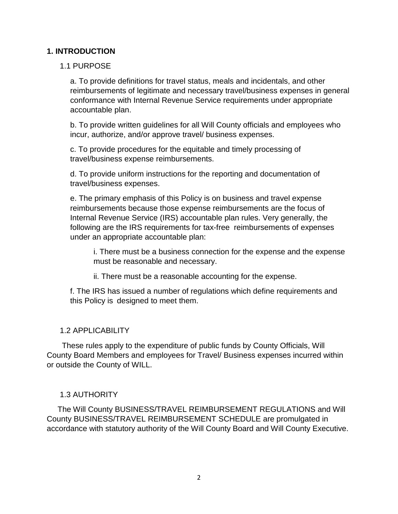#### **1. INTRODUCTION**

#### 1.1 PURPOSE

a. To provide definitions for travel status, meals and incidentals, and other reimbursements of legitimate and necessary travel/business expenses in general conformance with Internal Revenue Service requirements under appropriate accountable plan.

b. To provide written guidelines for all Will County officials and employees who incur, authorize, and/or approve travel/ business expenses.

c. To provide procedures for the equitable and timely processing of travel/business expense reimbursements.

d. To provide uniform instructions for the reporting and documentation of travel/business expenses.

e. The primary emphasis of this Policy is on business and travel expense reimbursements because those expense reimbursements are the focus of Internal Revenue Service (IRS) accountable plan rules. Very generally, the following are the IRS requirements for tax-free reimbursements of expenses under an appropriate accountable plan:

i. There must be a business connection for the expense and the expense must be reasonable and necessary.

ii. There must be a reasonable accounting for the expense.

f. The IRS has issued a number of regulations which define requirements and this Policy is designed to meet them.

#### 1.2 APPLICABILITY

 These rules apply to the expenditure of public funds by County Officials, Will County Board Members and employees for Travel/ Business expenses incurred within or outside the County of WILL.

#### 1.3 AUTHORITY

 The Will County BUSINESS/TRAVEL REIMBURSEMENT REGULATIONS and Will County BUSINESS/TRAVEL REIMBURSEMENT SCHEDULE are promulgated in accordance with statutory authority of the Will County Board and Will County Executive.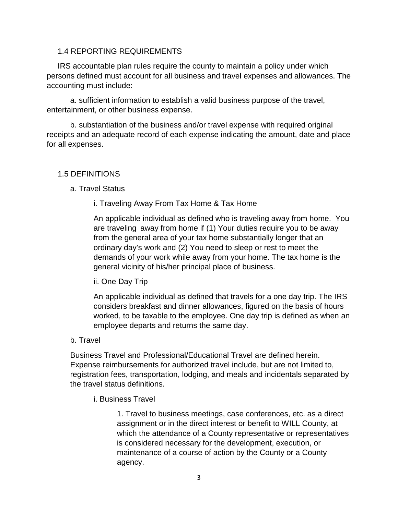#### 1.4 REPORTING REQUIREMENTS

 IRS accountable plan rules require the county to maintain a policy under which persons defined must account for all business and travel expenses and allowances. The accounting must include:

a. sufficient information to establish a valid business purpose of the travel, entertainment, or other business expense.

b. substantiation of the business and/or travel expense with required original receipts and an adequate record of each expense indicating the amount, date and place for all expenses.

#### 1.5 DEFINITIONS

#### a. Travel Status

i. Traveling Away From Tax Home & Tax Home

An applicable individual as defined who is traveling away from home. You are traveling away from home if (1) Your duties require you to be away from the general area of your tax home substantially longer that an ordinary day's work and (2) You need to sleep or rest to meet the demands of your work while away from your home. The tax home is the general vicinity of his/her principal place of business.

#### ii. One Day Trip

An applicable individual as defined that travels for a one day trip. The IRS considers breakfast and dinner allowances, figured on the basis of hours worked, to be taxable to the employee. One day trip is defined as when an employee departs and returns the same day.

#### b. Travel

Business Travel and Professional/Educational Travel are defined herein. Expense reimbursements for authorized travel include, but are not limited to, registration fees, transportation, lodging, and meals and incidentals separated by the travel status definitions.

i. Business Travel

1. Travel to business meetings, case conferences, etc. as a direct assignment or in the direct interest or benefit to WILL County, at which the attendance of a County representative or representatives is considered necessary for the development, execution, or maintenance of a course of action by the County or a County agency.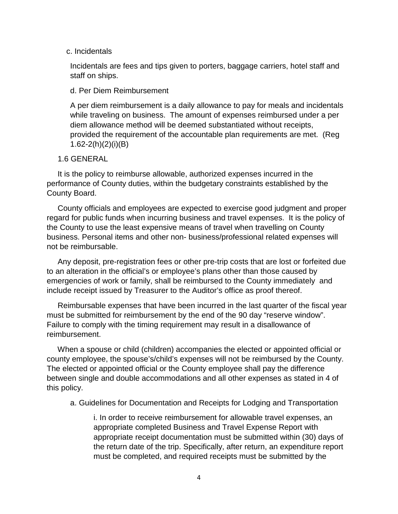#### c. Incidentals

Incidentals are fees and tips given to porters, baggage carriers, hotel staff and staff on ships.

#### d. Per Diem Reimbursement

A per diem reimbursement is a daily allowance to pay for meals and incidentals while traveling on business. The amount of expenses reimbursed under a per diem allowance method will be deemed substantiated without receipts, provided the requirement of the accountable plan requirements are met. (Reg 1.62-2(h)(2)(i)(B)

#### 1.6 GENERAL

 It is the policy to reimburse allowable, authorized expenses incurred in the performance of County duties, within the budgetary constraints established by the County Board.

 County officials and employees are expected to exercise good judgment and proper regard for public funds when incurring business and travel expenses. It is the policy of the County to use the least expensive means of travel when travelling on County business. Personal items and other non- business/professional related expenses will not be reimbursable.

 Any deposit, pre-registration fees or other pre-trip costs that are lost or forfeited due to an alteration in the official's or employee's plans other than those caused by emergencies of work or family, shall be reimbursed to the County immediately and include receipt issued by Treasurer to the Auditor's office as proof thereof.

 Reimbursable expenses that have been incurred in the last quarter of the fiscal year must be submitted for reimbursement by the end of the 90 day "reserve window". Failure to comply with the timing requirement may result in a disallowance of reimbursement.

 When a spouse or child (children) accompanies the elected or appointed official or county employee, the spouse's/child's expenses will not be reimbursed by the County. The elected or appointed official or the County employee shall pay the difference between single and double accommodations and all other expenses as stated in 4 of this policy.

a. Guidelines for Documentation and Receipts for Lodging and Transportation

i. In order to receive reimbursement for allowable travel expenses, an appropriate completed Business and Travel Expense Report with appropriate receipt documentation must be submitted within (30) days of the return date of the trip. Specifically, after return, an expenditure report must be completed, and required receipts must be submitted by the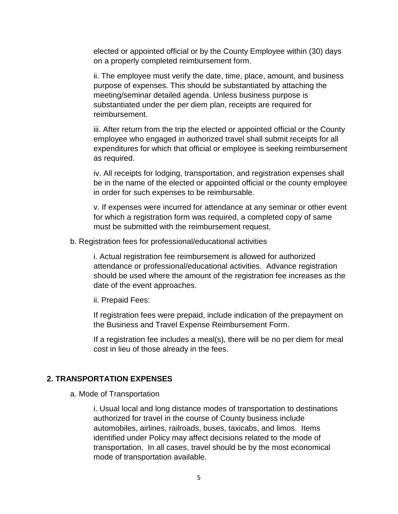elected or appointed official or by the County Employee within (30) days on a properly completed reimbursement form.

ii. The employee must verify the date, time, place, amount, and business purpose of expenses. This should be substantiated by attaching the meeting/seminar detailed agenda. Unless business purpose is substantiated under the per diem plan, receipts are required for reimbursement.

iii. After return from the trip the elected or appointed official or the County employee who engaged in authorized travel shall submit receipts for all expenditures for which that official or employee is seeking reimbursement as required.

iv. All receipts for lodging, transportation, and registration expenses shall be in the name of the elected or appointed official or the county employee in order for such expenses to be reimbursable.

v. If expenses were incurred for attendance at any seminar or other event for which a registration form was required, a completed copy of same must be submitted with the reimbursement request.

b. Registration fees for professional/educational activities

i. Actual registration fee reimbursement is allowed for authorized attendance or professional/educational activities. Advance registration should be used where the amount of the registration fee increases as the date of the event approaches.

ii. Prepaid Fees:

If registration fees were prepaid, include indication of the prepayment on the Business and Travel Expense Reimbursement Form.

If a registration fee includes a meal(s), there will be no per diem for meal cost in lieu of those already in the fees.

#### **2. TRANSPORTATION EXPENSES**

a. Mode of Transportation

i. Usual local and long distance modes of transportation to destinations authorized for travel in the course of County business include automobiles, airlines, railroads, buses, taxicabs, and limos. Items identified under Policy may affect decisions related to the mode of transportation. In all cases, travel should be by the most economical mode of transportation available.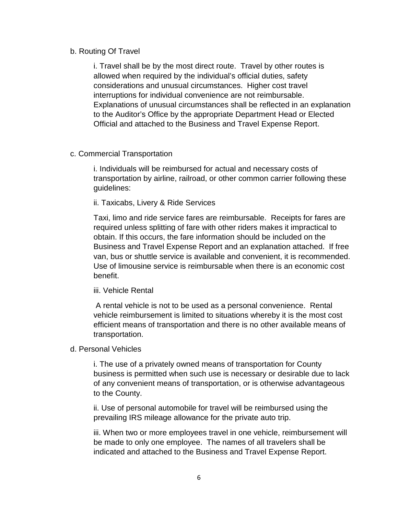#### b. Routing Of Travel

i. Travel shall be by the most direct route. Travel by other routes is allowed when required by the individual's official duties, safety considerations and unusual circumstances. Higher cost travel interruptions for individual convenience are not reimbursable. Explanations of unusual circumstances shall be reflected in an explanation to the Auditor's Office by the appropriate Department Head or Elected Official and attached to the Business and Travel Expense Report.

#### c. Commercial Transportation

i. Individuals will be reimbursed for actual and necessary costs of transportation by airline, railroad, or other common carrier following these guidelines:

#### ii. Taxicabs, Livery & Ride Services

Taxi, limo and ride service fares are reimbursable. Receipts for fares are required unless splitting of fare with other riders makes it impractical to obtain. If this occurs, the fare information should be included on the Business and Travel Expense Report and an explanation attached. If free van, bus or shuttle service is available and convenient, it is recommended. Use of limousine service is reimbursable when there is an economic cost benefit.

#### iii. Vehicle Rental

A rental vehicle is not to be used as a personal convenience. Rental vehicle reimbursement is limited to situations whereby it is the most cost efficient means of transportation and there is no other available means of transportation.

#### d. Personal Vehicles

i. The use of a privately owned means of transportation for County business is permitted when such use is necessary or desirable due to lack of any convenient means of transportation, or is otherwise advantageous to the County.

ii. Use of personal automobile for travel will be reimbursed using the prevailing IRS mileage allowance for the private auto trip.

iii. When two or more employees travel in one vehicle, reimbursement will be made to only one employee. The names of all travelers shall be indicated and attached to the Business and Travel Expense Report.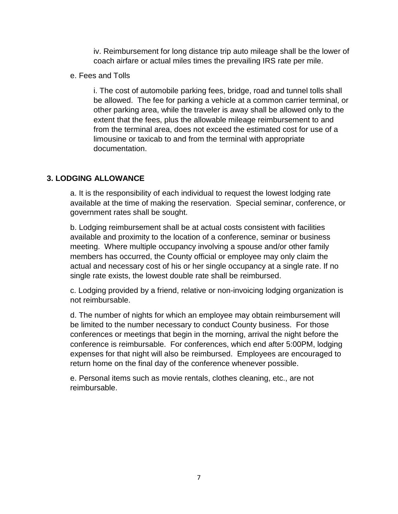iv. Reimbursement for long distance trip auto mileage shall be the lower of coach airfare or actual miles times the prevailing IRS rate per mile.

e. Fees and Tolls

i. The cost of automobile parking fees, bridge, road and tunnel tolls shall be allowed. The fee for parking a vehicle at a common carrier terminal, or other parking area, while the traveler is away shall be allowed only to the extent that the fees, plus the allowable mileage reimbursement to and from the terminal area, does not exceed the estimated cost for use of a limousine or taxicab to and from the terminal with appropriate documentation.

#### **3. LODGING ALLOWANCE**

a. It is the responsibility of each individual to request the lowest lodging rate available at the time of making the reservation. Special seminar, conference, or government rates shall be sought.

b. Lodging reimbursement shall be at actual costs consistent with facilities available and proximity to the location of a conference, seminar or business meeting. Where multiple occupancy involving a spouse and/or other family members has occurred, the County official or employee may only claim the actual and necessary cost of his or her single occupancy at a single rate. If no single rate exists, the lowest double rate shall be reimbursed.

c. Lodging provided by a friend, relative or non-invoicing lodging organization is not reimbursable.

d. The number of nights for which an employee may obtain reimbursement will be limited to the number necessary to conduct County business. For those conferences or meetings that begin in the morning, arrival the night before the conference is reimbursable. For conferences, which end after 5:00PM, lodging expenses for that night will also be reimbursed. Employees are encouraged to return home on the final day of the conference whenever possible.

e. Personal items such as movie rentals, clothes cleaning, etc., are not reimbursable.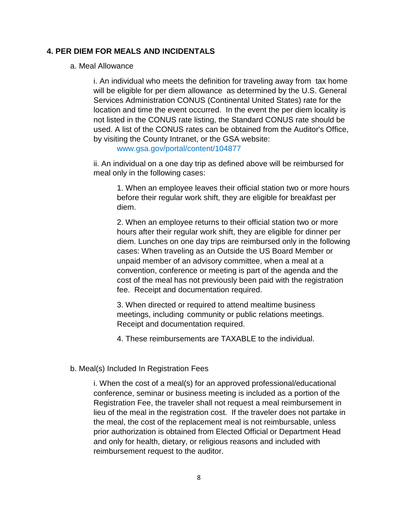#### **4. PER DIEM FOR MEALS AND INCIDENTALS**

#### a. Meal Allowance

i. An individual who meets the definition for traveling away from tax home will be eligible for per diem allowance as determined by the U.S. General Services Administration CONUS (Continental United States) rate for the location and time the event occurred. In the event the per diem locality is not listed in the CONUS rate listing, the Standard CONUS rate should be used. A list of the CONUS rates can be obtained from the Auditor's Office, by visiting the County Intranet, or the GSA website:

www.gsa.gov/portal/content/104877

ii. An individual on a one day trip as defined above will be reimbursed for meal only in the following cases:

1. When an employee leaves their official station two or more hours before their regular work shift, they are eligible for breakfast per diem.

2. When an employee returns to their official station two or more hours after their regular work shift, they are eligible for dinner per diem. Lunches on one day trips are reimbursed only in the following cases: When traveling as an Outside the US Board Member or unpaid member of an advisory committee, when a meal at a convention, conference or meeting is part of the agenda and the cost of the meal has not previously been paid with the registration fee. Receipt and documentation required.

3. When directed or required to attend mealtime business meetings, including community or public relations meetings. Receipt and documentation required.

4. These reimbursements are TAXABLE to the individual.

#### b. Meal(s) Included In Registration Fees

i. When the cost of a meal(s) for an approved professional/educational conference, seminar or business meeting is included as a portion of the Registration Fee, the traveler shall not request a meal reimbursement in lieu of the meal in the registration cost. If the traveler does not partake in the meal, the cost of the replacement meal is not reimbursable, unless prior authorization is obtained from Elected Official or Department Head and only for health, dietary, or religious reasons and included with reimbursement request to the auditor.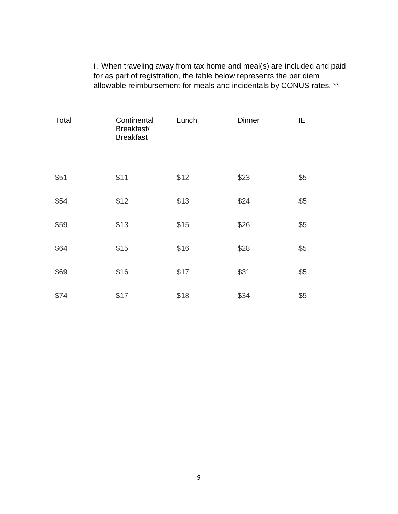ii. When traveling away from tax home and meal(s) are included and paid for as part of registration, the table below represents the per diem allowable reimbursement for meals and incidentals by CONUS rates. \*\*

| Total | Continental<br>Breakfast/<br><b>Breakfast</b> | Lunch | <b>Dinner</b> | ΙE  |
|-------|-----------------------------------------------|-------|---------------|-----|
| \$51  | \$11                                          | \$12  | \$23          | \$5 |
| \$54  | \$12                                          | \$13  | \$24          | \$5 |
| \$59  | \$13                                          | \$15  | \$26          | \$5 |
| \$64  | \$15                                          | \$16  | \$28          | \$5 |
| \$69  | \$16                                          | \$17  | \$31          | \$5 |
| \$74  | \$17                                          | \$18  | \$34          | \$5 |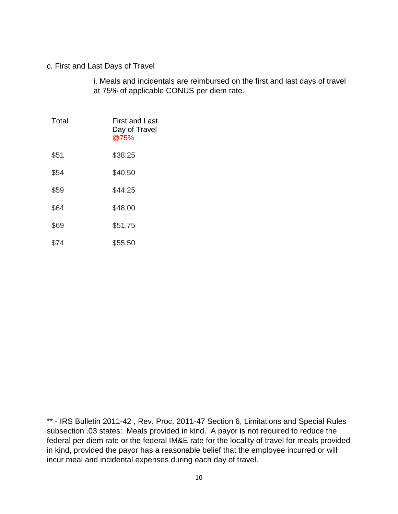#### c. First and Last Days of Travel

i. Meals and incidentals are reimbursed on the first and last days of travel at 75% of applicable CONUS per diem rate.

| Total | First and Last<br>Day of Travel<br>@75% |
|-------|-----------------------------------------|
| \$51  | \$38.25                                 |
| \$54  | \$40.50                                 |
| \$59  | \$44.25                                 |
| \$64  | \$48.00                                 |
| \$69  | \$51.75                                 |
| \$74  | \$55.50                                 |

\*\* - IRS Bulletin 2011-42 , Rev. Proc. 2011-47 Section 6, Limitations and Special Rules subsection .03 states: Meals provided in kind. A payor is not required to reduce the federal per diem rate or the federal IM&E rate for the locality of travel for meals provided in kind, provided the payor has a reasonable belief that the employee incurred or will incur meal and incidental expenses during each day of travel.